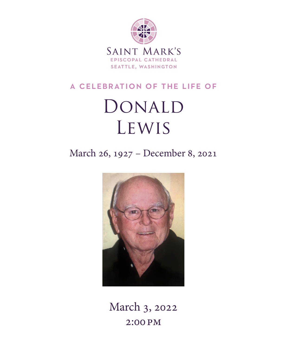

### a celebration of the life of

# Donald Lewis

## March 26, 1927 – December 8, 2021



March 3, 2022 2:00 pm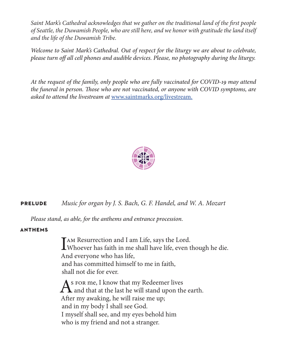*Saint Mark's Cathedral acknowledges that we gather on the traditional land of the first people of Seattle, the Duwamish People, who are still here, and we honor with gratitude the land itself and the life of the Duwamish Tribe.* 

*Welcome to Saint Mark's Cathedral. Out of respect for the liturgy we are about to celebrate, please turn off all cell phones and audible devices. Please, no photography during the liturgy.*

*At the request of the family, only people who are fully vaccinated for COVID-19 may attend the funeral in person. Those who are not vaccinated, or anyone with COVID symptoms, are asked to attend the livestream at* [www.saintmarks.org/livestream.](http://www.saintmarks.org/livestream)



#### **prelude** *Music for organ by J. S. Bach, G. F. Handel, and W. A. Mozart*

*Please stand, as able, for the anthems and entrance procession.*

#### **anthems**

I AM Resurrection and I am Life, says the Lord.<br>Whoever has faith in me shall have life, even though he die. And everyone who has life, and has committed himself to me in faith, shall not die for ever.

As FOR me, I know that my Redeemer lives<br>and that at the last he will stand upon the earth. After my awaking, he will raise me up; and in my body I shall see God. I myself shall see, and my eyes behold him who is my friend and not a stranger.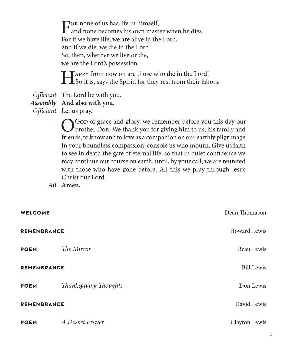For none of us has life in himself,<br>and none becomes his own master when he dies. For if we have life, we are alive in the Lord, and if we die, we die in the Lord. So, then, whether we live or die, we are the Lord's possession.

Happy from now on are those who die in the Lord! So it is, says the Spirit, for they rest from their labors.

*Officiant* The Lord be with you.

### *Assembly* **And also with you.**

*Officiant* Let us pray.

O God of grace and glory, we remember before you this day our brother Don. We thank you for giving him to us, his family and friends, to know and to love as a companion on our earthly pilgrimage. In your boundless compassion, console us who mourn. Give us faith to see in death the gate of eternal life, so that in quiet confidence we may continue our course on earth, until, by your call, we are reunited with those who have gone before. All this we pray through Jesus Christ our Lord.

*All* **Amen.**

| <b>WELCOME</b>     |                       | Dean Thomason       |
|--------------------|-----------------------|---------------------|
| <b>REMEMBRANCE</b> |                       | <b>Howard Lewis</b> |
| <b>POEM</b>        | The Mirror            | Beau Lewis          |
| <b>REMEMBRANCE</b> |                       | <b>Bill Lewis</b>   |
| <b>POEM</b>        | Thanksgiving Thoughts | Don Lewis           |
| <b>REMEMBRANCE</b> |                       | David Lewis         |
| <b>POEM</b>        | A Desert Prayer       | Clayton Lewis       |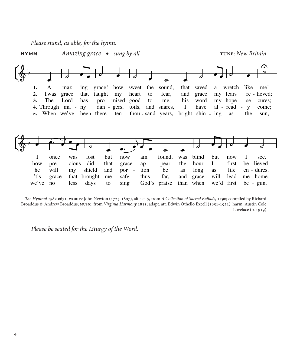*Please stand, as able, for the hymn.*



*The Hymnal 1982* #671, WORDS: John Newton (1725-1807), alt.; st. 5, from *A Collection of Sacred Ballads*, 1790; compiled by Richard Broaddus *&* Andrew Broaddus; music: from *Virginia Harmony* 1831; adapt. att. Edwin Othello Excell (1851-1921); harm. Austin Cole Lovelace (b. 1919)

*Please be seated for the Liturgy of the Word.*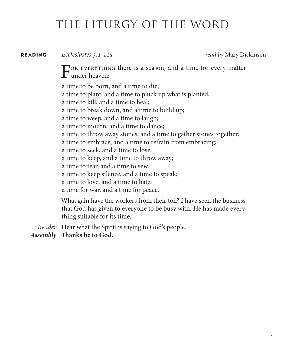# THE LITURGY OF THE WORD

#### **reading** *Ecclesiastes 3:1-11a read by* Mary Dickinson

For everything there is a season, and a time for every matter  $\Gamma$  under heaven:

a time to be born, and a time to die; a time to plant, and a time to pluck up what is planted; a time to kill, and a time to heal; a time to break down, and a time to build up; a time to weep, and a time to laugh; a time to mourn, and a time to dance; a time to throw away stones, and a time to gather stones together; a time to embrace, and a time to refrain from embracing; a time to seek, and a time to lose; a time to keep, and a time to throw away; a time to tear, and a time to sew; a time to keep silence, and a time to speak; a time to love, and a time to hate; a time for war, and a time for peace. What gain have the workers from their toil? I have seen the business that God has given to everyone to be busy with. He has made everything suitable for its time.

*Reader* Hear what the Spirit is saying to God's people.

*Assembly* **Thanks be to God.**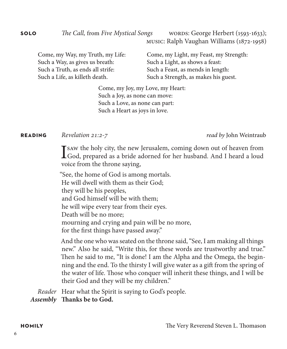| Come, my Way, my Truth, my Life:  | Come, my Light, my Feast, my Strength: |
|-----------------------------------|----------------------------------------|
| Such a Way, as gives us breath:   | Such a Light, as shows a feast:        |
| Such a Truth, as ends all strife: | Such a Feast, as mends in length:      |
| Such a Life, as killeth death.    | Such a Strength, as makes his guest.   |

Come, my Joy, my Love, my Heart: Such a Joy, as none can move: Such a Love, as none can part: Such a Heart as joys in love.

#### **reading** *Revelation 21:2-7 read by* John Weintraub

I saw the holy city, the new Jerusalem, coming down out of heaven from God, prepared as a bride adorned for her husband. And I heard a loud voice from the throne saying,

"See, the home of God is among mortals. He will dwell with them as their God; they will be his peoples, and God himself will be with them; he will wipe every tear from their eyes. Death will be no more; mourning and crying and pain will be no more, for the first things have passed away."

And the one who was seated on the throne said, "See, I am making all things new." Also he said, "Write this, for these words are trustworthy and true." Then he said to me, "It is done! I am the Alpha and the Omega, the beginning and the end. To the thirsty I will give water as a gift from the spring of the water of life. Those who conquer will inherit these things, and I will be their God and they will be my children."

*Reader* Hear what the Spirit is saying to God's people.

*Assembly* **Thanks be to God.**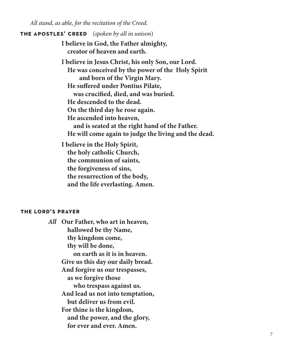*All stand, as able, for the recitation of the Creed.*

#### **the apostles' creed**(*spoken by all in unison*)

**I believe in God, the Father almighty, creator of heaven and earth.**

**I believe in Jesus Christ, his only Son, our Lord. He was conceived by the power of the Holy Spirit and born of the Virgin Mary. He suffered under Pontius Pilate, was crucified, died, and was buried. He descended to the dead. On the third day he rose again. He ascended into heaven, and is seated at the right hand of the Father. He will come again to judge the living and the dead.**

**I believe in the Holy Spirit, the holy catholic Church, the communion of saints, the forgiveness of sins, the resurrection of the body, and the life everlasting. Amen.**

#### **the lord's prayer**

*All* **Our Father, who art in heaven, hallowed be thy Name, thy kingdom come, thy will be done, on earth as it is in heaven. Give us this day our daily bread. And forgive us our trespasses, as we forgive those who trespass against us. And lead us not into temptation, but deliver us from evil. For thine is the kingdom, and the power, and the glory, for ever and ever. Amen.**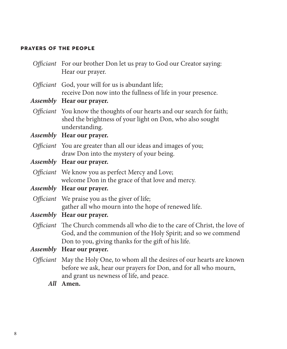#### **prayers of the people**

| Officiant For our brother Don let us pray to God our Creator saying:<br>Hear our prayer.                                                                                                            |
|-----------------------------------------------------------------------------------------------------------------------------------------------------------------------------------------------------|
| Officiant God, your will for us is abundant life;<br>receive Don now into the fullness of life in your presence.                                                                                    |
| <i>Assembly</i> Hear our prayer.                                                                                                                                                                    |
| Officiant You know the thoughts of our hearts and our search for faith;<br>shed the brightness of your light on Don, who also sought<br>understanding.                                              |
| Assembly Hear our prayer.                                                                                                                                                                           |
| Officiant You are greater than all our ideas and images of you;<br>draw Don into the mystery of your being.                                                                                         |
| Assembly Hear our prayer.                                                                                                                                                                           |
| Officiant We know you as perfect Mercy and Love;<br>welcome Don in the grace of that love and mercy.                                                                                                |
| Assembly Hear our prayer.                                                                                                                                                                           |
| Officiant We praise you as the giver of life;<br>gather all who mourn into the hope of renewed life.                                                                                                |
| Assembly Hear our prayer.                                                                                                                                                                           |
| Officiant The Church commends all who die to the care of Christ, the love of<br>God, and the communion of the Holy Spirit; and so we commend<br>Don to you, giving thanks for the gift of his life. |
| Assembly Hear our prayer.                                                                                                                                                                           |
| Officiant May the Holy One, to whom all the desires of our hearts are known<br>before we ask, hear our prayers for Don, and for all who mourn,<br>and grant us newness of life, and peace.          |
| All Amen.                                                                                                                                                                                           |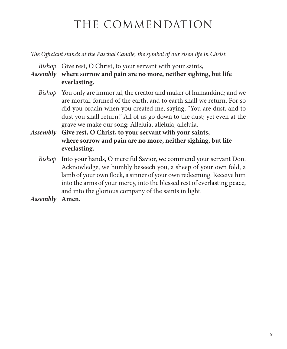# THE COMMENDATION

*The Officiant stands at the Paschal Candle, the symbol of our risen life in Christ.* 

*Bishop* Give rest, O Christ, to your servant with your saints,

*Assembly* **where sorrow and pain are no more, neither sighing, but life everlasting.**

- *Bishop* You only are immortal, the creator and maker of humankind; and we are mortal, formed of the earth, and to earth shall we return. For so did you ordain when you created me, saying, "You are dust, and to dust you shall return." All of us go down to the dust; yet even at the grave we make our song: Alleluia, alleluia, alleluia.
- *Assembly* **Give rest, O Christ, to your servant with your saints, where sorrow and pain are no more, neither sighing, but life everlasting.**
	- *Bishop* Into your hands, O merciful Savior, we commend your servant Don. Acknowledge, we humbly beseech you, a sheep of your own fold, a lamb of your own flock, a sinner of your own redeeming. Receive him into the arms of your mercy, into the blessed rest of everlasting peace, and into the glorious company of the saints in light.
- *Assembly* **Amen.**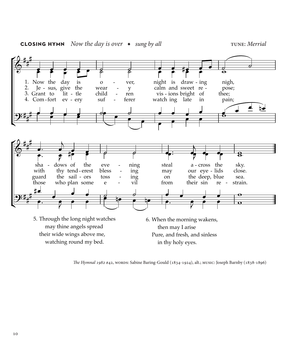

#### **closing hymn** *Now the day is over* ◆ *sung by all* tune: *Merrial*

*The Hymnal 1982* #42, words: Sabine Baring-Gould (1834-1924), alt.; music: Joseph Barnby (1838-1896)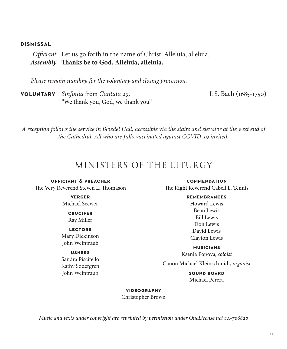#### **dismissal**

*Officiant* Let us go forth in the name of Christ. Alleluia, alleluia. *Assembly* **Thanks be to God. Alleluia, alleluia.**

*Please remain standing for the voluntary and closing procession.*

**voluntary** *Sinfonia* from *Cantata 29,* J. S. Bach (1685-1750) "We thank you, God, we thank you"

*A reception follows the service in Bloedel Hall, accessible via the stairs and elevator at the west end of the Cathedral. All who are fully vaccinated against COVID-19 invited.*

### MINISTERS OF THE LITURGY

**officiant & preacher** The Very Reverend Steven L. Thomason

> **verger** Michael Seewer

> > **crucifer** Ray Miller

**lectors** Mary Dickinson John Weintraub

**ushers**

Sandra Piscitello Kathy Sodergren John Weintraub

**commendation** The Right Reverend Cabell L. Tennis

> **remembrances** Howard Lewis Beau Lewis Bill Lewis Don Lewis David Lewis Clayton Lewis

**musicians** Ksenia Popova, *soloist*

Canon Michael Kleinschmidt, *organist*

**SOUND BOARD** Michael Perera

#### **videography**

Christopher Brown

*Music and texts under copyright are reprinted by permission under OneLicense.net #a-706820*